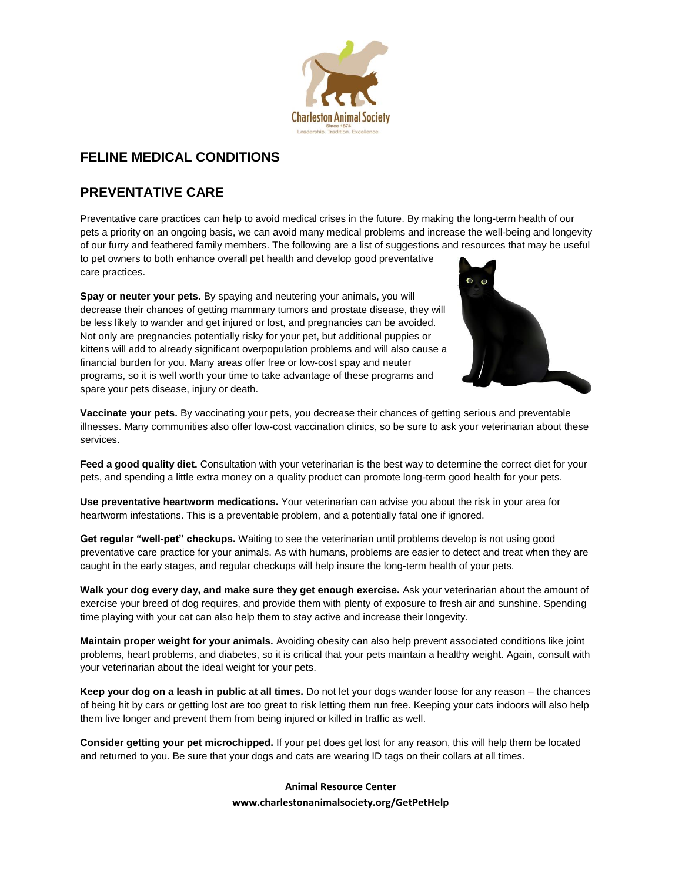

# **FELINE MEDICAL CONDITIONS**

# **PREVENTATIVE CARE**

Preventative care practices can help to avoid medical crises in the future. By making the long-term health of our pets a priority on an ongoing basis, we can avoid many medical problems and increase the well-being and longevity of our furry and feathered family members. The following are a list of suggestions and resources that may be useful to pet owners to both enhance overall pet health and develop good preventative care practices.

**Spay or neuter your pets.** By spaying and neutering your animals, you will decrease their chances of getting mammary tumors and prostate disease, they will be less likely to wander and get injured or lost, and pregnancies can be avoided. Not only are pregnancies potentially risky for your pet, but additional puppies or kittens will add to already significant overpopulation problems and will also cause a financial burden for you. Many areas offer free or low-cost spay and neuter programs, so it is well worth your time to take advantage of these programs and spare your pets disease, injury or death.



**Vaccinate your pets.** By vaccinating your pets, you decrease their chances of getting serious and preventable illnesses. Many communities also offer low-cost vaccination clinics, so be sure to ask your veterinarian about these services.

**Feed a good quality diet.** Consultation with your veterinarian is the best way to determine the correct diet for your pets, and spending a little extra money on a quality product can promote long-term good health for your pets.

**Use preventative heartworm medications.** Your veterinarian can advise you about the risk in your area for heartworm infestations. This is a preventable problem, and a potentially fatal one if ignored.

**Get regular "well-pet" checkups.** Waiting to see the veterinarian until problems develop is not using good preventative care practice for your animals. As with humans, problems are easier to detect and treat when they are caught in the early stages, and regular checkups will help insure the long-term health of your pets.

**Walk your dog every day, and make sure they get enough exercise.** Ask your veterinarian about the amount of exercise your breed of dog requires, and provide them with plenty of exposure to fresh air and sunshine. Spending time playing with your cat can also help them to stay active and increase their longevity.

**Maintain proper weight for your animals.** Avoiding obesity can also help prevent associated conditions like joint problems, heart problems, and diabetes, so it is critical that your pets maintain a healthy weight. Again, consult with your veterinarian about the ideal weight for your pets.

**Keep your dog on a leash in public at all times.** Do not let your dogs wander loose for any reason – the chances of being hit by cars or getting lost are too great to risk letting them run free. Keeping your cats indoors will also help them live longer and prevent them from being injured or killed in traffic as well.

**Consider getting your pet microchipped.** If your pet does get lost for any reason, this will help them be located and returned to you. Be sure that your dogs and cats are wearing ID tags on their collars at all times.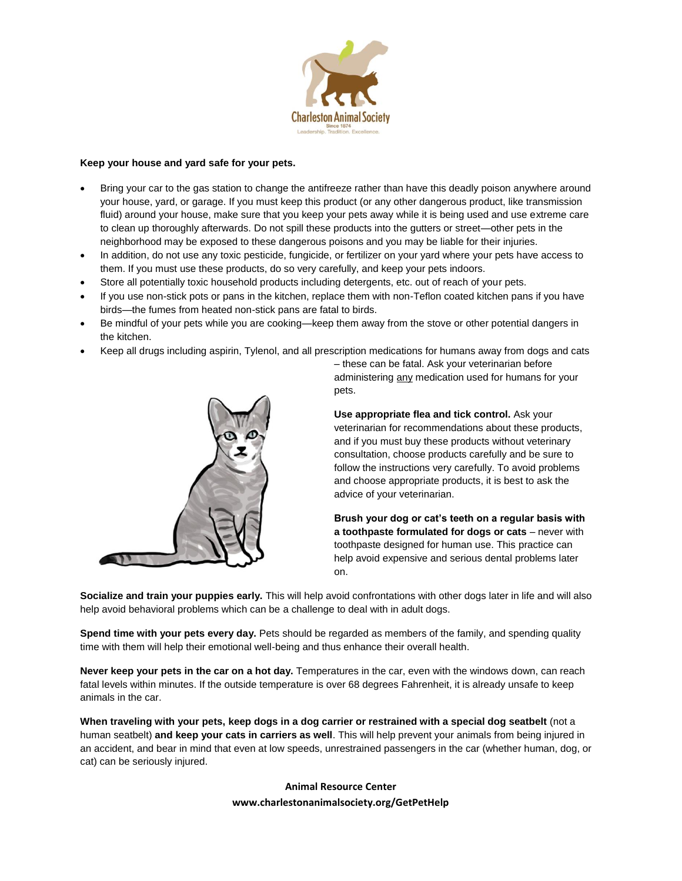

## **Keep your house and yard safe for your pets.**

- Bring your car to the gas station to change the antifreeze rather than have this deadly poison anywhere around your house, yard, or garage. If you must keep this product (or any other dangerous product, like transmission fluid) around your house, make sure that you keep your pets away while it is being used and use extreme care to clean up thoroughly afterwards. Do not spill these products into the gutters or street—other pets in the neighborhood may be exposed to these dangerous poisons and you may be liable for their injuries.
- In addition, do not use any toxic pesticide, fungicide, or fertilizer on your yard where your pets have access to them. If you must use these products, do so very carefully, and keep your pets indoors.
- Store all potentially toxic household products including detergents, etc. out of reach of your pets.
- If you use non-stick pots or pans in the kitchen, replace them with non-Teflon coated kitchen pans if you have birds—the fumes from heated non-stick pans are fatal to birds.
- Be mindful of your pets while you are cooking—keep them away from the stove or other potential dangers in the kitchen.
- Keep all drugs including aspirin, Tylenol, and all prescription medications for humans away from dogs and cats



– these can be fatal. Ask your veterinarian before administering any medication used for humans for your pets.

**Use appropriate flea and tick control.** Ask your veterinarian for recommendations about these products, and if you must buy these products without veterinary consultation, choose products carefully and be sure to follow the instructions very carefully. To avoid problems and choose appropriate products, it is best to ask the advice of your veterinarian.

**Brush your dog or cat's teeth on a regular basis with a toothpaste formulated for dogs or cats** – never with toothpaste designed for human use. This practice can help avoid expensive and serious dental problems later on.

**Socialize and train your puppies early.** This will help avoid confrontations with other dogs later in life and will also help avoid behavioral problems which can be a challenge to deal with in adult dogs.

**Spend time with your pets every day.** Pets should be regarded as members of the family, and spending quality time with them will help their emotional well-being and thus enhance their overall health.

**Never keep your pets in the car on a hot day.** Temperatures in the car, even with the windows down, can reach fatal levels within minutes. If the outside temperature is over 68 degrees Fahrenheit, it is already unsafe to keep animals in the car.

**When traveling with your pets, keep dogs in a dog carrier or restrained with a special dog seatbelt** (not a human seatbelt) **and keep your cats in carriers as well**. This will help prevent your animals from being injured in an accident, and bear in mind that even at low speeds, unrestrained passengers in the car (whether human, dog, or cat) can be seriously injured.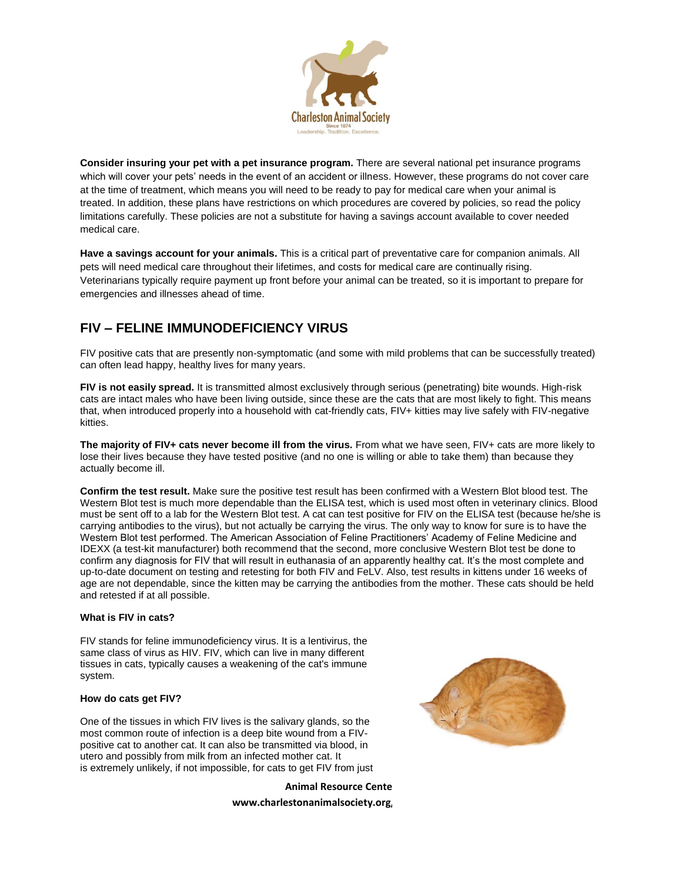

**Consider insuring your pet with a pet insurance program.** There are several national pet insurance programs which will cover your pets' needs in the event of an accident or illness. However, these programs do not cover care at the time of treatment, which means you will need to be ready to pay for medical care when your animal is treated. In addition, these plans have restrictions on which procedures are covered by policies, so read the policy limitations carefully. These policies are not a substitute for having a savings account available to cover needed medical care.

**Have a savings account for your animals.** This is a critical part of preventative care for companion animals. All pets will need medical care throughout their lifetimes, and costs for medical care are continually rising. Veterinarians typically require payment up front before your animal can be treated, so it is important to prepare for emergencies and illnesses ahead of time.

# **FIV – FELINE IMMUNODEFICIENCY VIRUS**

FIV positive cats that are presently non-symptomatic (and some with mild problems that can be successfully treated) can often lead happy, healthy lives for many years.

**FIV is not easily spread.** It is transmitted almost exclusively through serious (penetrating) bite wounds. High-risk cats are intact males who have been living outside, since these are the cats that are most likely to fight. This means that, when introduced properly into a household with cat-friendly cats, FIV+ kitties may live safely with FIV-negative kitties.

**The majority of FIV+ cats never become ill from the virus.** From what we have seen, FIV+ cats are more likely to lose their lives because they have tested positive (and no one is willing or able to take them) than because they actually become ill.

**Confirm the test result.** Make sure the positive test result has been confirmed with a Western Blot blood test. The Western Blot test is much more dependable than the ELISA test, which is used most often in veterinary clinics. Blood must be sent off to a lab for the Western Blot test. A cat can test positive for FIV on the ELISA test (because he/she is carrying antibodies to the virus), but not actually be carrying the virus. The only way to know for sure is to have the Western Blot test performed. The American Association of Feline Practitioners' Academy of Feline Medicine and IDEXX (a test-kit manufacturer) both recommend that the second, more conclusive Western Blot test be done to confirm any diagnosis for FIV that will result in euthanasia of an apparently healthy cat. It's the most complete and up-to-date document on testing and retesting for both FIV and FeLV. Also, test results in kittens under 16 weeks of age are not dependable, since the kitten may be carrying the antibodies from the mother. These cats should be held and retested if at all possible.

## **What is FIV in cats?**

FIV stands for feline immunodeficiency virus. It is a lentivirus, the same class of virus as HIV. FIV, which can live in many different tissues in cats, typically causes a weakening of the cat's immune system.

## **How do cats get FIV?**

One of the tissues in which FIV lives is the salivary glands, so the most common route of infection is a deep bite wound from a FIVpositive cat to another cat. It can also be transmitted via blood, in utero and possibly from milk from an infected mother cat. It is extremely unlikely, if not impossible, for cats to get FIV from just

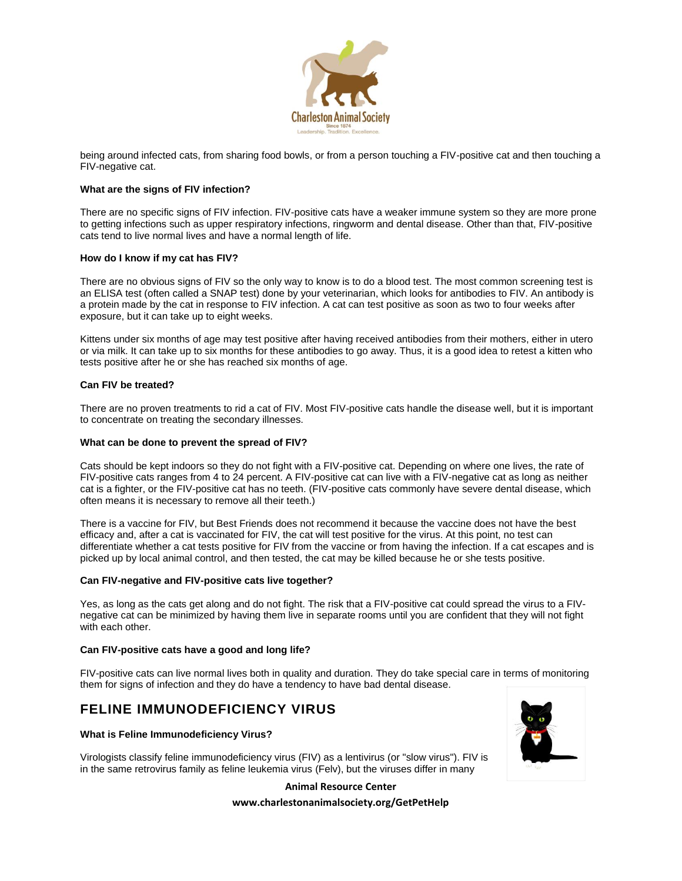

being around infected cats, from sharing food bowls, or from a person touching a FIV-positive cat and then touching a FIV-negative cat.

## **What are the signs of FIV infection?**

There are no specific signs of FIV infection. FIV-positive cats have a weaker immune system so they are more prone to getting infections such as upper respiratory infections, ringworm and dental disease. Other than that, FIV-positive cats tend to live normal lives and have a normal length of life.

#### **How do I know if my cat has FIV?**

There are no obvious signs of FIV so the only way to know is to do a blood test. The most common screening test is an ELISA test (often called a SNAP test) done by your veterinarian, which looks for antibodies to FIV. An antibody is a protein made by the cat in response to FIV infection. A cat can test positive as soon as two to four weeks after exposure, but it can take up to eight weeks.

Kittens under six months of age may test positive after having received antibodies from their mothers, either in utero or via milk. It can take up to six months for these antibodies to go away. Thus, it is a good idea to retest a kitten who tests positive after he or she has reached six months of age.

#### **Can FIV be treated?**

There are no proven treatments to rid a cat of FIV. Most FIV-positive cats handle the disease well, but it is important to concentrate on treating the secondary illnesses.

#### **What can be done to prevent the spread of FIV?**

Cats should be kept indoors so they do not fight with a FIV-positive cat. Depending on where one lives, the rate of FIV-positive cats ranges from 4 to 24 percent. A FIV-positive cat can live with a FIV-negative cat as long as neither cat is a fighter, or the FIV-positive cat has no teeth. (FIV-positive cats commonly have severe dental disease, which often means it is necessary to remove all their teeth.)

There is a vaccine for FIV, but Best Friends does not recommend it because the vaccine does not have the best efficacy and, after a cat is vaccinated for FIV, the cat will test positive for the virus. At this point, no test can differentiate whether a cat tests positive for FIV from the vaccine or from having the infection. If a cat escapes and is picked up by local animal control, and then tested, the cat may be killed because he or she tests positive.

#### **Can FIV-negative and FIV-positive cats live together?**

Yes, as long as the cats get along and do not fight. The risk that a FIV-positive cat could spread the virus to a FIVnegative cat can be minimized by having them live in separate rooms until you are confident that they will not fight with each other.

#### **Can FIV-positive cats have a good and long life?**

FIV-positive cats can live normal lives both in quality and duration. They do take special care in terms of monitoring them for signs of infection and they do have a tendency to have bad dental disease.

## **FELINE IMMUNODEFICIENCY VIRUS**

#### **What is Feline Immunodeficiency Virus?**

Virologists classify feline immunodeficiency virus (FIV) as a lentivirus (or "slow virus"). FIV is in the same retrovirus family as feline leukemia virus (Felv), but the viruses differ in many

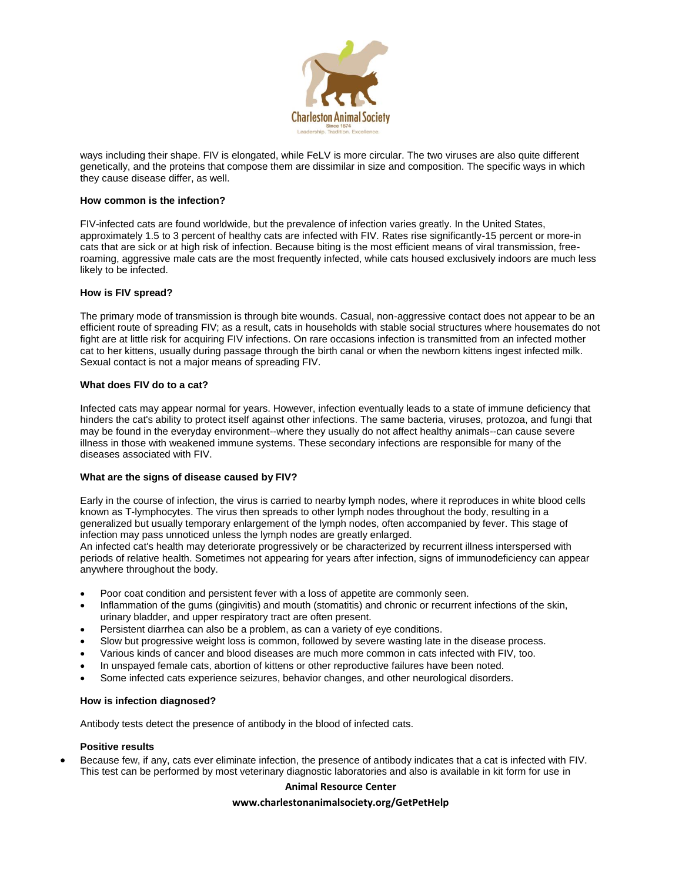

ways including their shape. FIV is elongated, while FeLV is more circular. The two viruses are also quite different genetically, and the proteins that compose them are dissimilar in size and composition. The specific ways in which they cause disease differ, as well.

#### **How common is the infection?**

FIV-infected cats are found worldwide, but the prevalence of infection varies greatly. In the United States, approximately 1.5 to 3 percent of healthy cats are infected with FIV. Rates rise significantly-15 percent or more-in cats that are sick or at high risk of infection. Because biting is the most efficient means of viral transmission, freeroaming, aggressive male cats are the most frequently infected, while cats housed exclusively indoors are much less likely to be infected.

#### **How is FIV spread?**

The primary mode of transmission is through bite wounds. Casual, non-aggressive contact does not appear to be an efficient route of spreading FIV; as a result, cats in households with stable social structures where housemates do not fight are at little risk for acquiring FIV infections. On rare occasions infection is transmitted from an infected mother cat to her kittens, usually during passage through the birth canal or when the newborn kittens ingest infected milk. Sexual contact is not a major means of spreading FIV.

#### **What does FIV do to a cat?**

Infected cats may appear normal for years. However, infection eventually leads to a state of immune deficiency that hinders the cat's ability to protect itself against other infections. The same bacteria, viruses, protozoa, and fungi that may be found in the everyday environment--where they usually do not affect healthy animals--can cause severe illness in those with weakened immune systems. These secondary infections are responsible for many of the diseases associated with FIV.

## **What are the signs of disease caused by FIV?**

Early in the course of infection, the virus is carried to nearby lymph nodes, where it reproduces in white blood cells known as T-lymphocytes. The virus then spreads to other lymph nodes throughout the body, resulting in a generalized but usually temporary enlargement of the lymph nodes, often accompanied by fever. This stage of infection may pass unnoticed unless the lymph nodes are greatly enlarged.

An infected cat's health may deteriorate progressively or be characterized by recurrent illness interspersed with periods of relative health. Sometimes not appearing for years after infection, signs of immunodeficiency can appear anywhere throughout the body.

- Poor coat condition and persistent fever with a loss of appetite are commonly seen.
- Inflammation of the gums (gingivitis) and mouth (stomatitis) and chronic or recurrent infections of the skin, urinary bladder, and upper respiratory tract are often present.
- Persistent diarrhea can also be a problem, as can a variety of eye conditions.
- Slow but progressive weight loss is common, followed by severe wasting late in the disease process.
- Various kinds of cancer and blood diseases are much more common in cats infected with FIV, too.
- In unspayed female cats, abortion of kittens or other reproductive failures have been noted.
- Some infected cats experience seizures, behavior changes, and other neurological disorders.

#### **How is infection diagnosed?**

Antibody tests detect the presence of antibody in the blood of infected cats.

## **Positive results**

 Because few, if any, cats ever eliminate infection, the presence of antibody indicates that a cat is infected with FIV. This test can be performed by most veterinary diagnostic laboratories and also is available in kit form for use in

#### **Animal Resource Center**

#### **www.charlestonanimalsociety.org/GetPetHelp**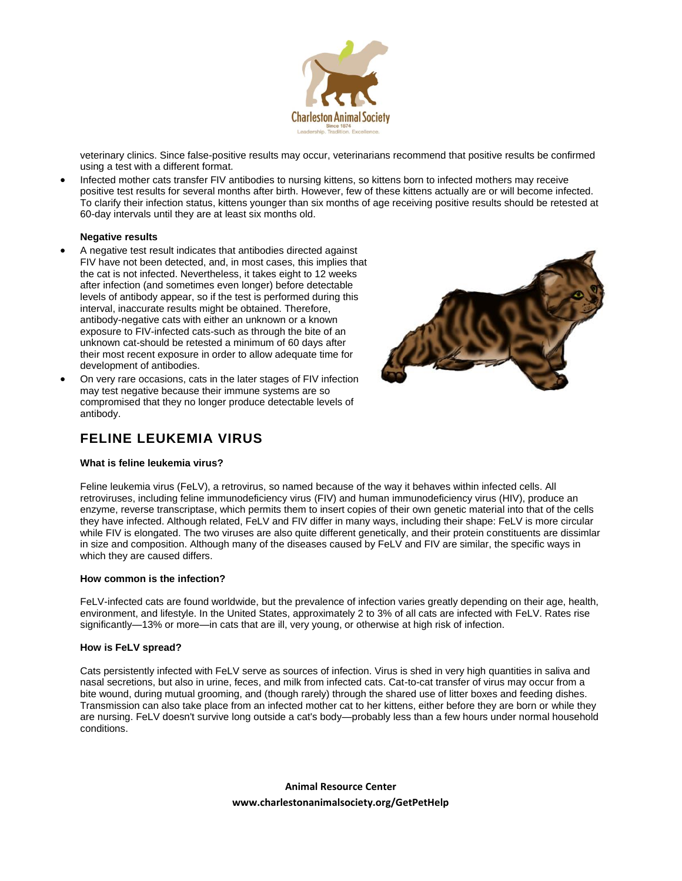

veterinary clinics. Since false-positive results may occur, veterinarians recommend that positive results be confirmed using a test with a different format.

 Infected mother cats transfer FIV antibodies to nursing kittens, so kittens born to infected mothers may receive positive test results for several months after birth. However, few of these kittens actually are or will become infected. To clarify their infection status, kittens younger than six months of age receiving positive results should be retested at 60-day intervals until they are at least six months old.

#### **Negative results**

- A negative test result indicates that antibodies directed against FIV have not been detected, and, in most cases, this implies that the cat is not infected. Nevertheless, it takes eight to 12 weeks after infection (and sometimes even longer) before detectable levels of antibody appear, so if the test is performed during this interval, inaccurate results might be obtained. Therefore, antibody-negative cats with either an unknown or a known exposure to FIV-infected cats-such as through the bite of an unknown cat-should be retested a minimum of 60 days after their most recent exposure in order to allow adequate time for development of antibodies.
- On very rare occasions, cats in the later stages of FIV infection may test negative because their immune systems are so compromised that they no longer produce detectable levels of antibody.



## **FELINE LEUKEMIA VIRUS**

#### **What is feline leukemia virus?**

Feline leukemia virus (FeLV), a retrovirus, so named because of the way it behaves within infected cells. All retroviruses, including feline immunodeficiency virus (FIV) and human immunodeficiency virus (HIV), produce an enzyme, reverse transcriptase, which permits them to insert copies of their own genetic material into that of the cells they have infected. Although related, FeLV and FIV differ in many ways, including their shape: FeLV is more circular while FIV is elongated. The two viruses are also quite different genetically, and their protein constituents are dissimlar in size and composition. Although many of the diseases caused by FeLV and FIV are similar, the specific ways in which they are caused differs.

#### **How common is the infection?**

FeLV-infected cats are found worldwide, but the prevalence of infection varies greatly depending on their age, health, environment, and lifestyle. In the United States, approximately 2 to 3% of all cats are infected with FeLV. Rates rise significantly—13% or more—in cats that are ill, very young, or otherwise at high risk of infection.

#### **How is FeLV spread?**

Cats persistently infected with FeLV serve as sources of infection. Virus is shed in very high quantities in saliva and nasal secretions, but also in urine, feces, and milk from infected cats. Cat-to-cat transfer of virus may occur from a bite wound, during mutual grooming, and (though rarely) through the shared use of litter boxes and feeding dishes. Transmission can also take place from an infected mother cat to her kittens, either before they are born or while they are nursing. FeLV doesn't survive long outside a cat's body—probably less than a few hours under normal household conditions.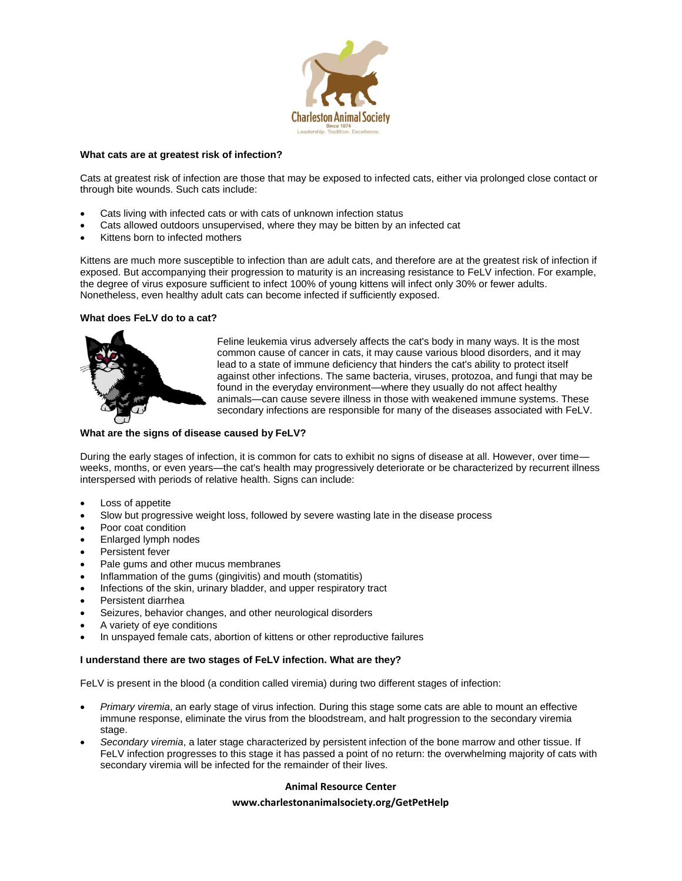

## **What cats are at greatest risk of infection?**

Cats at greatest risk of infection are those that may be exposed to infected cats, either via prolonged close contact or through bite wounds. Such cats include:

- Cats living with infected cats or with cats of unknown infection status
- Cats allowed outdoors unsupervised, where they may be bitten by an infected cat
- Kittens born to infected mothers

Kittens are much more susceptible to infection than are adult cats, and therefore are at the greatest risk of infection if exposed. But accompanying their progression to maturity is an increasing resistance to FeLV infection. For example, the degree of virus exposure sufficient to infect 100% of young kittens will infect only 30% or fewer adults. Nonetheless, even healthy adult cats can become infected if sufficiently exposed.

#### **What does FeLV do to a cat?**



Feline leukemia virus adversely affects the cat's body in many ways. It is the most common cause of cancer in cats, it may cause various blood disorders, and it may lead to a state of immune deficiency that hinders the cat's ability to protect itself against other infections. The same bacteria, viruses, protozoa, and fungi that may be found in the everyday environment—where they usually do not affect healthy animals—can cause severe illness in those with weakened immune systems. These secondary infections are responsible for many of the diseases associated with FeLV.

#### **What are the signs of disease caused by FeLV?**

During the early stages of infection, it is common for cats to exhibit no signs of disease at all. However, over time weeks, months, or even years—the cat's health may progressively deteriorate or be characterized by recurrent illness interspersed with periods of relative health. Signs can include:

- Loss of appetite
- Slow but progressive weight loss, followed by severe wasting late in the disease process
- Poor coat condition
- Enlarged lymph nodes
- Persistent fever
- Pale gums and other mucus membranes
- Inflammation of the gums (gingivitis) and mouth (stomatitis)
- Infections of the skin, urinary bladder, and upper respiratory tract
- Persistent diarrhea
- Seizures, behavior changes, and other neurological disorders
- A variety of eye conditions
- In unspayed female cats, abortion of kittens or other reproductive failures

#### **I understand there are two stages of FeLV infection. What are they?**

FeLV is present in the blood (a condition called viremia) during two different stages of infection:

- *Primary viremia*, an early stage of virus infection. During this stage some cats are able to mount an effective immune response, eliminate the virus from the bloodstream, and halt progression to the secondary viremia stage.
- *Secondary viremia*, a later stage characterized by persistent infection of the bone marrow and other tissue. If FeLV infection progresses to this stage it has passed a point of no return: the overwhelming majority of cats with secondary viremia will be infected for the remainder of their lives.

#### **Animal Resource Center**

#### **www.charlestonanimalsociety.org/GetPetHelp**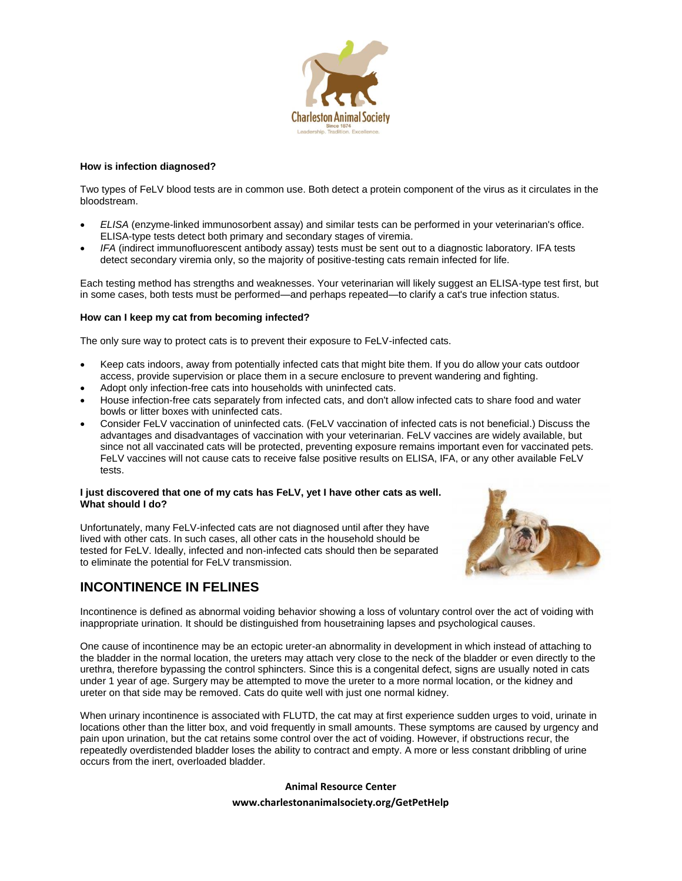

#### **How is infection diagnosed?**

Two types of FeLV blood tests are in common use. Both detect a protein component of the virus as it circulates in the bloodstream.

- *ELISA* (enzyme-linked immunosorbent assay) and similar tests can be performed in your veterinarian's office. ELISA-type tests detect both primary and secondary stages of viremia.
- *IFA* (indirect immunofluorescent antibody assay) tests must be sent out to a diagnostic laboratory. IFA tests detect secondary viremia only, so the majority of positive-testing cats remain infected for life.

Each testing method has strengths and weaknesses. Your veterinarian will likely suggest an ELISA-type test first, but in some cases, both tests must be performed—and perhaps repeated—to clarify a cat's true infection status.

#### **How can I keep my cat from becoming infected?**

The only sure way to protect cats is to prevent their exposure to FeLV-infected cats.

- Keep cats indoors, away from potentially infected cats that might bite them. If you do allow your cats outdoor access, provide supervision or place them in a secure enclosure to prevent wandering and fighting.
- Adopt only infection-free cats into households with uninfected cats.
- House infection-free cats separately from infected cats, and don't allow infected cats to share food and water bowls or litter boxes with uninfected cats.
- Consider FeLV vaccination of uninfected cats. (FeLV vaccination of infected cats is not beneficial.) Discuss the advantages and disadvantages of vaccination with your veterinarian. FeLV vaccines are widely available, but since not all vaccinated cats will be protected, preventing exposure remains important even for vaccinated pets. FeLV vaccines will not cause cats to receive false positive results on ELISA, IFA, or any other available FeLV tests.

#### **I just discovered that one of my cats has FeLV, yet I have other cats as well. What should I do?**

Unfortunately, many FeLV-infected cats are not diagnosed until after they have lived with other cats. In such cases, all other cats in the household should be tested for FeLV. Ideally, infected and non-infected cats should then be separated to eliminate the potential for FeLV transmission.



# **INCONTINENCE IN FELINES**

Incontinence is defined as abnormal voiding behavior showing a loss of voluntary control over the act of voiding with inappropriate urination. It should be distinguished from housetraining lapses and psychological causes.

One cause of incontinence may be an ectopic ureter-an abnormality in development in which instead of attaching to the bladder in the normal location, the ureters may attach very close to the neck of the bladder or even directly to the urethra, therefore bypassing the control sphincters. Since this is a congenital defect, signs are usually noted in cats under 1 year of age. Surgery may be attempted to move the ureter to a more normal location, or the kidney and ureter on that side may be removed. Cats do quite well with just one normal kidney.

When urinary incontinence is associated with FLUTD, the cat may at first experience sudden urges to void, urinate in locations other than the litter box, and void frequently in small amounts. These symptoms are caused by urgency and pain upon urination, but the cat retains some control over the act of voiding. However, if obstructions recur, the repeatedly overdistended bladder loses the ability to contract and empty. A more or less constant dribbling of urine occurs from the inert, overloaded bladder.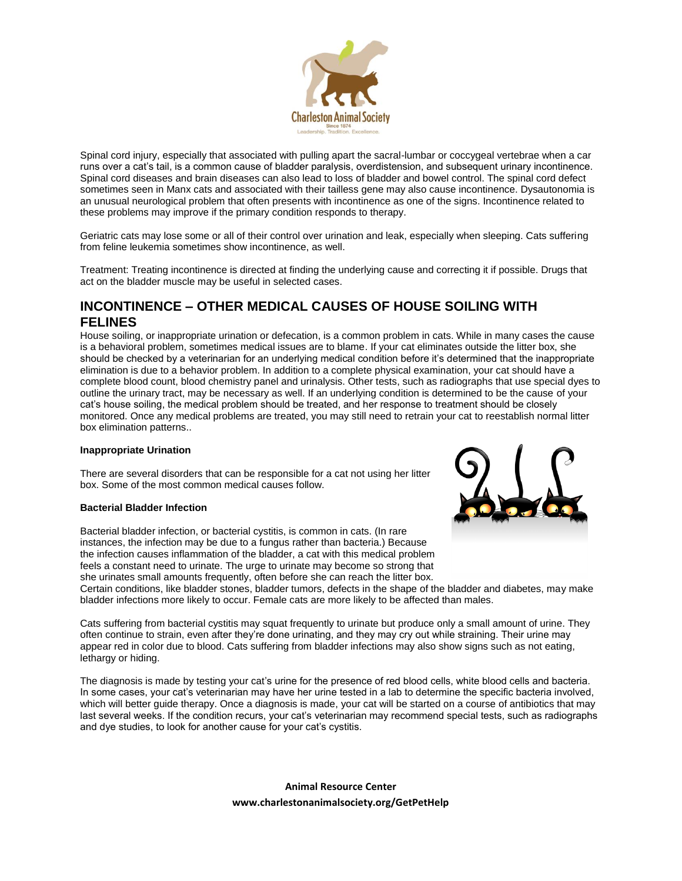

Spinal cord injury, especially that associated with pulling apart the sacral-lumbar or coccygeal vertebrae when a car runs over a cat's tail, is a common cause of bladder paralysis, overdistension, and subsequent urinary incontinence. Spinal cord diseases and brain diseases can also lead to loss of bladder and bowel control. The spinal cord defect sometimes seen in Manx cats and associated with their tailless gene may also cause incontinence. Dysautonomia is an unusual neurological problem that often presents with incontinence as one of the signs. Incontinence related to these problems may improve if the primary condition responds to therapy.

Geriatric cats may lose some or all of their control over urination and leak, especially when sleeping. Cats suffering from feline leukemia sometimes show incontinence, as well.

Treatment: Treating incontinence is directed at finding the underlying cause and correcting it if possible. Drugs that act on the bladder muscle may be useful in selected cases.

## **INCONTINENCE – OTHER MEDICAL CAUSES OF HOUSE SOILING WITH FELINES**

House soiling, or inappropriate urination or defecation, is a common problem in cats. While in many cases the cause is a behavioral problem, sometimes medical issues are to blame. If your cat eliminates outside the litter box, she should be checked by a veterinarian for an underlying medical condition before it's determined that the inappropriate elimination is due to a behavior problem. In addition to a complete physical examination, your cat should have a complete blood count, blood chemistry panel and urinalysis. Other tests, such as radiographs that use special dyes to outline the urinary tract, may be necessary as well. If an underlying condition is determined to be the cause of your cat's house soiling, the medical problem should be treated, and her response to treatment should be closely monitored. Once any medical problems are treated, you may still need to retrain your cat to reestablish normal litter box elimination patterns..

## **Inappropriate Urination**

There are several disorders that can be responsible for a cat not using her litter box. Some of the most common medical causes follow.

## **Bacterial Bladder Infection**

Bacterial bladder infection, or bacterial cystitis, is common in cats. (In rare instances, the infection may be due to a fungus rather than bacteria.) Because the infection causes inflammation of the bladder, a cat with this medical problem feels a constant need to urinate. The urge to urinate may become so strong that she urinates small amounts frequently, often before she can reach the litter box.



Certain conditions, like bladder stones, bladder tumors, defects in the shape of the bladder and diabetes, may make bladder infections more likely to occur. Female cats are more likely to be affected than males.

Cats suffering from bacterial cystitis may squat frequently to urinate but produce only a small amount of urine. They often continue to strain, even after they're done urinating, and they may cry out while straining. Their urine may appear red in color due to blood. Cats suffering from bladder infections may also show signs such as not eating, lethargy or hiding.

The diagnosis is made by testing your cat's urine for the presence of red blood cells, white blood cells and bacteria. In some cases, your cat's veterinarian may have her urine tested in a lab to determine the specific bacteria involved, which will better guide therapy. Once a diagnosis is made, your cat will be started on a course of antibiotics that may last several weeks. If the condition recurs, your cat's veterinarian may recommend special tests, such as radiographs and dye studies, to look for another cause for your cat's cystitis.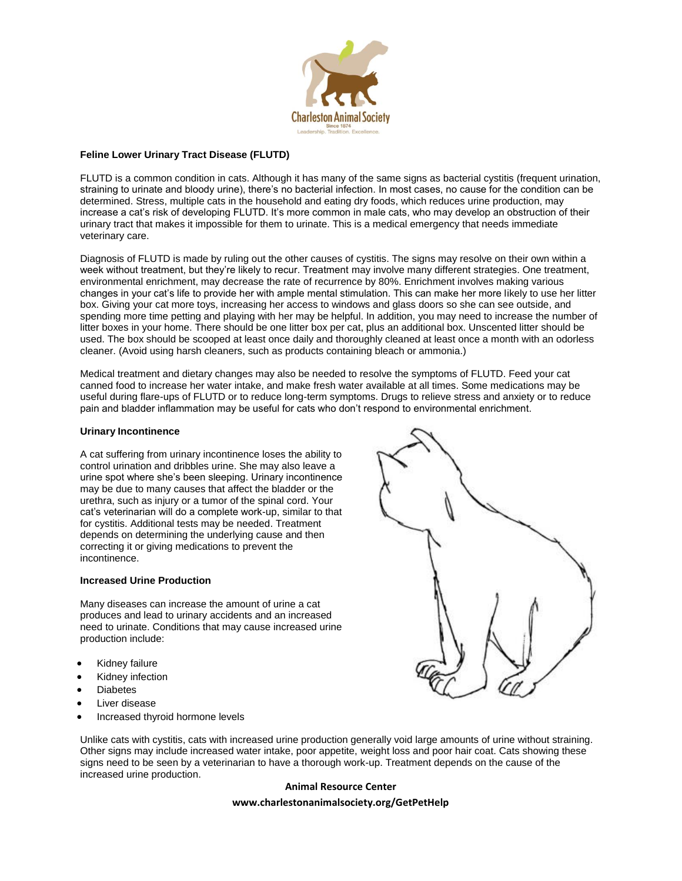

## **Feline Lower Urinary Tract Disease (FLUTD)**

FLUTD is a common condition in cats. Although it has many of the same signs as bacterial cystitis (frequent urination, straining to urinate and bloody urine), there's no bacterial infection. In most cases, no cause for the condition can be determined. Stress, multiple cats in the household and eating dry foods, which reduces urine production, may increase a cat's risk of developing FLUTD. It's more common in male cats, who may develop an obstruction of their urinary tract that makes it impossible for them to urinate. This is a medical emergency that needs immediate veterinary care.

Diagnosis of FLUTD is made by ruling out the other causes of cystitis. The signs may resolve on their own within a week without treatment, but they're likely to recur. Treatment may involve many different strategies. One treatment, environmental enrichment, may decrease the rate of recurrence by 80%. Enrichment involves making various changes in your cat's life to provide her with ample mental stimulation. This can make her more likely to use her litter box. Giving your cat more toys, increasing her access to windows and glass doors so she can see outside, and spending more time petting and playing with her may be helpful. In addition, you may need to increase the number of litter boxes in your home. There should be one litter box per cat, plus an additional box. Unscented litter should be used. The box should be scooped at least once daily and thoroughly cleaned at least once a month with an odorless cleaner. (Avoid using harsh cleaners, such as products containing bleach or ammonia.)

Medical treatment and dietary changes may also be needed to resolve the symptoms of FLUTD. Feed your cat canned food to increase her water intake, and make fresh water available at all times. Some medications may be useful during flare-ups of FLUTD or to reduce long-term symptoms. Drugs to relieve stress and anxiety or to reduce pain and bladder inflammation may be useful for cats who don't respond to environmental enrichment.

#### **Urinary Incontinence**

A cat suffering from urinary incontinence loses the ability to control urination and dribbles urine. She may also leave a urine spot where she's been sleeping. Urinary incontinence may be due to many causes that affect the bladder or the urethra, such as injury or a tumor of the spinal cord. Your cat's veterinarian will do a complete work-up, similar to that for cystitis. Additional tests may be needed. Treatment depends on determining the underlying cause and then correcting it or giving medications to prevent the incontinence.

#### **Increased Urine Production**

Many diseases can increase the amount of urine a cat produces and lead to urinary accidents and an increased need to urinate. Conditions that may cause increased urine production include:

- Kidney failure
- Kidney infection
- **Diabetes**
- Liver disease
- Increased thyroid hormone levels



Unlike cats with cystitis, cats with increased urine production generally void large amounts of urine without straining. Other signs may include increased water intake, poor appetite, weight loss and poor hair coat. Cats showing these signs need to be seen by a veterinarian to have a thorough work-up. Treatment depends on the cause of the increased urine production.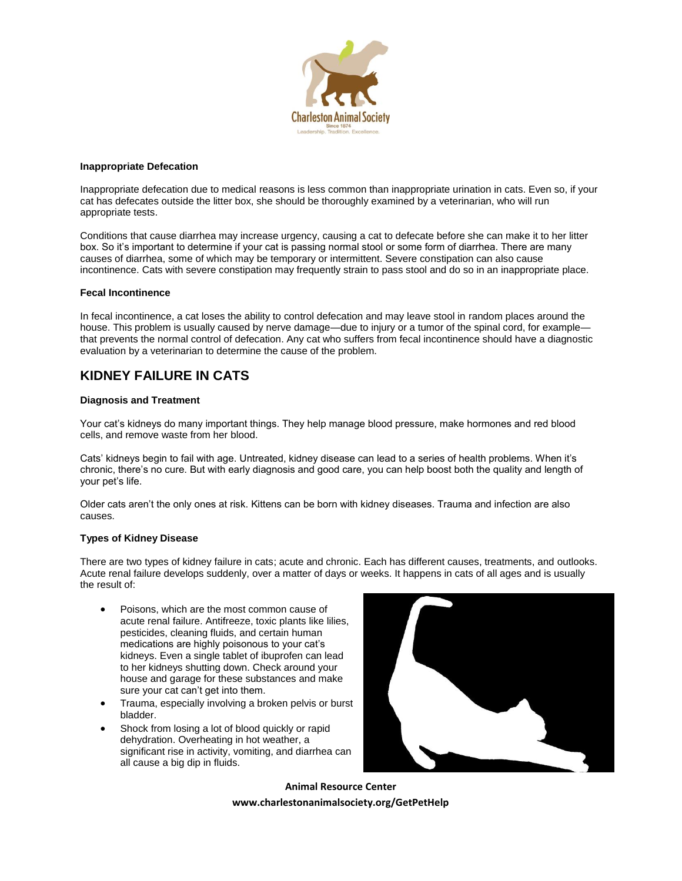

#### **Inappropriate Defecation**

Inappropriate defecation due to medical reasons is less common than inappropriate urination in cats. Even so, if your cat has defecates outside the litter box, she should be thoroughly examined by a veterinarian, who will run appropriate tests.

Conditions that cause diarrhea may increase urgency, causing a cat to defecate before she can make it to her litter box. So it's important to determine if your cat is passing normal stool or some form of diarrhea. There are many causes of diarrhea, some of which may be temporary or intermittent. Severe constipation can also cause incontinence. Cats with severe constipation may frequently strain to pass stool and do so in an inappropriate place.

#### **Fecal Incontinence**

In fecal incontinence, a cat loses the ability to control defecation and may leave stool in random places around the house. This problem is usually caused by nerve damage—due to injury or a tumor of the spinal cord, for example that prevents the normal control of defecation. Any cat who suffers from fecal incontinence should have a diagnostic evaluation by a veterinarian to determine the cause of the problem.

## **KIDNEY FAILURE IN CATS**

## **Diagnosis and Treatment**

Your cat's kidneys do many important things. They help manage blood pressure, make hormones and red blood cells, and remove waste from her blood.

Cats' kidneys begin to fail with age. Untreated, kidney disease can lead to a series of health problems. When it's chronic, there's no cure. But with early diagnosis and good care, you can help boost both the quality and length of your pet's life.

Older cats aren't the only ones at risk. Kittens can be born with kidney diseases. Trauma and infection are also causes.

## **Types of Kidney Disease**

There are two types of kidney failure in cats; acute and chronic. Each has different causes, treatments, and outlooks. Acute renal failure develops suddenly, over a matter of days or weeks. It happens in cats of all ages and is usually the result of:

- Poisons, which are the most common cause of acute renal failure. Antifreeze, toxic plants like lilies, pesticides, cleaning fluids, and certain human medications are highly poisonous to your cat's kidneys. Even a single tablet of ibuprofen can lead to her kidneys shutting down. Check around your house and garage for these substances and make sure your cat can't get into them.
- Trauma, especially involving a broken pelvis or burst bladder.
- Shock from losing a lot of blood quickly or rapid dehydration. Overheating in hot weather, a significant rise in activity, vomiting, and diarrhea can all cause a big dip in fluids.

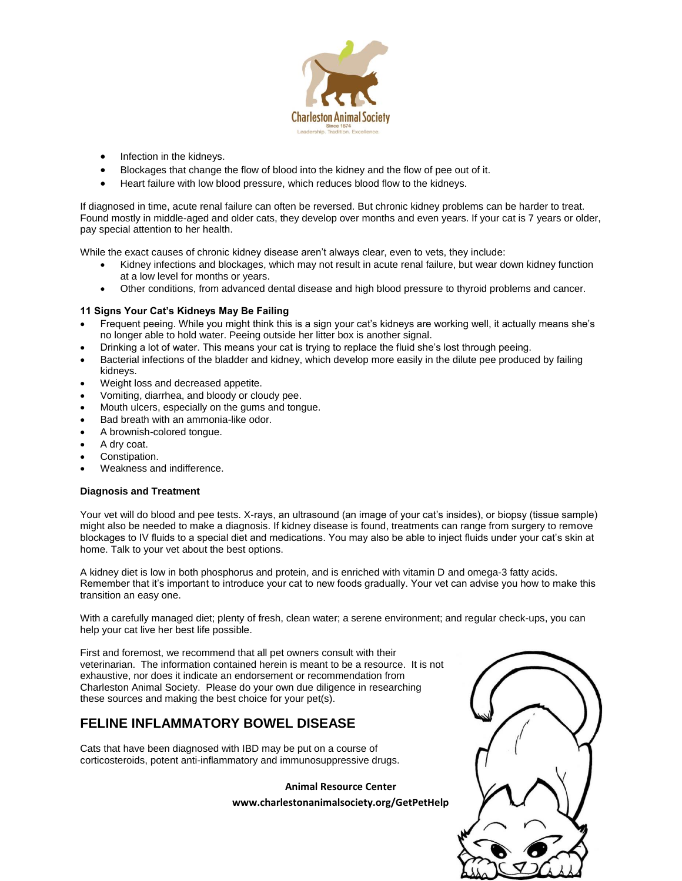

- Infection in the kidneys.
- Blockages that change the flow of blood into the kidney and the flow of pee out of it.
- Heart failure with low blood pressure, which reduces blood flow to the kidneys.

If diagnosed in time, acute renal failure can often be reversed. But chronic kidney problems can be harder to treat. Found mostly in middle-aged and older cats, they develop over months and even years. If your cat is 7 years or older, pay special attention to her health.

While the exact causes of chronic kidney disease aren't always clear, even to vets, they include:

- Kidney infections and blockages, which may not result in acute renal failure, but wear down kidney function at a low level for months or years.
- Other conditions, from advanced dental disease and high blood pressure to thyroid problems and cancer.

## **11 Signs Your Cat's Kidneys May Be Failing**

- Frequent peeing. While you might think this is a sign your cat's kidneys are working well, it actually means she's no longer able to hold water. Peeing outside her litter box is another signal.
- Drinking a lot of water. This means your cat is trying to replace the fluid she's lost through peeing.
- Bacterial infections of the bladder and kidney, which develop more easily in the dilute pee produced by failing kidneys.
- Weight loss and decreased appetite.
- Vomiting, diarrhea, and bloody or cloudy pee.
- Mouth ulcers, especially on the gums and tongue.
- Bad breath with an ammonia-like odor.
- A brownish-colored tongue.
- A dry coat.
- Constipation.
- Weakness and indifference.

## **Diagnosis and Treatment**

Your vet will do blood and pee tests. X-rays, an ultrasound (an image of your cat's insides), or biopsy (tissue sample) might also be needed to make a diagnosis. If kidney disease is found, treatments can range from surgery to remove blockages to IV fluids to a special diet and medications. You may also be able to inject fluids under your cat's skin at home. Talk to your vet about the best options.

A kidney diet is low in both phosphorus and protein, and is enriched with vitamin D and omega-3 fatty acids. Remember that it's important to introduce your cat to new foods gradually. Your vet can advise you how to make this transition an easy one.

With a carefully managed diet; plenty of fresh, clean water; a serene environment; and regular check-ups, you can help your cat live her best life possible.

First and foremost, we recommend that all pet owners consult with their veterinarian. The information contained herein is meant to be a resource. It is not exhaustive, nor does it indicate an endorsement or recommendation from Charleston Animal Society. Please do your own due diligence in researching these sources and making the best choice for your pet(s).

# **FELINE INFLAMMATORY BOWEL DISEASE**

Cats that have been diagnosed with IBD may be put on a course of corticosteroids, potent anti-inflammatory and immunosuppressive drugs.

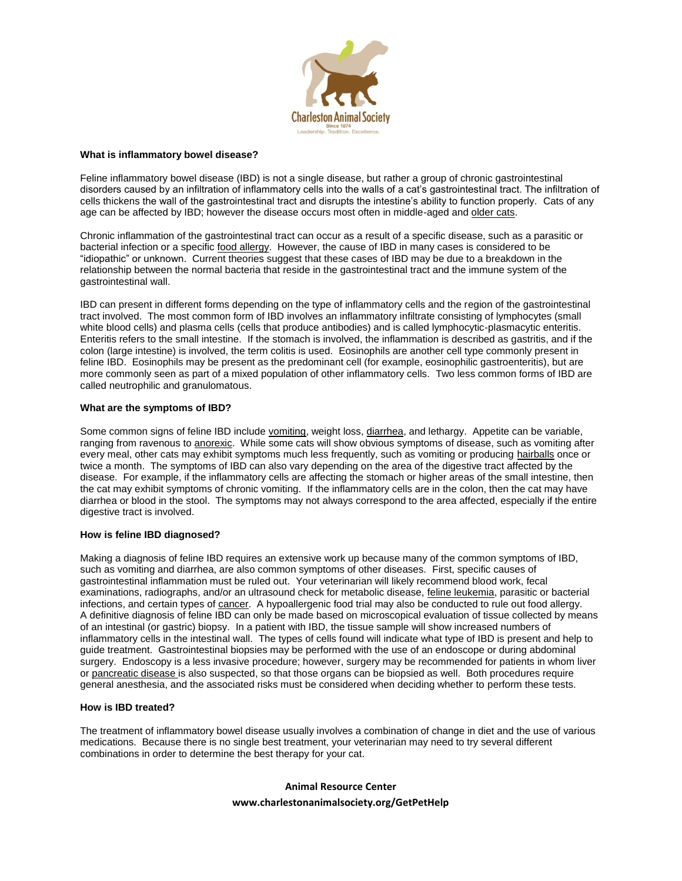

#### **What is inflammatory bowel disease?**

Feline inflammatory bowel disease (IBD) is not a single disease, but rather a group of chronic gastrointestinal disorders caused by an infiltration of inflammatory cells into the walls of a cat's gastrointestinal tract. The infiltration of cells thickens the wall of the gastrointestinal tract and disrupts the intestine's ability to function properly. Cats of any age can be affected by IBD; however the disease occurs most often in middle-aged and older cats.

Chronic inflammation of the gastrointestinal tract can occur as a result of a specific disease, such as a parasitic or bacterial infection or a specific food allergy. However, the cause of IBD in many cases is considered to be "idiopathic" or unknown. Current theories suggest that these cases of IBD may be due to a breakdown in the relationship between the normal bacteria that reside in the gastrointestinal tract and the immune system of the gastrointestinal wall.

IBD can present in different forms depending on the type of inflammatory cells and the region of the gastrointestinal tract involved. The most common form of IBD involves an inflammatory infiltrate consisting of lymphocytes (small white blood cells) and plasma cells (cells that produce antibodies) and is called lymphocytic-plasmacytic enteritis. Enteritis refers to the small intestine. If the stomach is involved, the inflammation is described as gastritis, and if the colon (large intestine) is involved, the term colitis is used. Eosinophils are another cell type commonly present in feline IBD. Eosinophils may be present as the predominant cell (for example, eosinophilic gastroenteritis), but are more commonly seen as part of a mixed population of other inflammatory cells. Two less common forms of IBD are called neutrophilic and granulomatous.

## **What are the symptoms of IBD?**

Some common signs of feline IBD include vomiting, weight loss, diarrhea, and lethargy. Appetite can be variable, ranging from ravenous to anorexic. While some cats will show obvious symptoms of disease, such as vomiting after every meal, other cats may exhibit symptoms much less frequently, such as vomiting or producing hairballs once or twice a month. The symptoms of IBD can also vary depending on the area of the digestive tract affected by the disease. For example, if the inflammatory cells are affecting the stomach or higher areas of the small intestine, then the cat may exhibit symptoms of chronic vomiting. If the inflammatory cells are in the colon, then the cat may have diarrhea or blood in the stool. The symptoms may not always correspond to the area affected, especially if the entire digestive tract is involved.

## **How is feline IBD diagnosed?**

Making a diagnosis of feline IBD requires an extensive work up because many of the common symptoms of IBD, such as vomiting and diarrhea, are also common symptoms of other diseases. First, specific causes of gastrointestinal inflammation must be ruled out. Your veterinarian will likely recommend blood work, fecal examinations, radiographs, and/or an ultrasound check for metabolic disease, feline leukemia, parasitic or bacterial infections, and certain types of cancer. A hypoallergenic food trial may also be conducted to rule out food allergy. A definitive diagnosis of feline IBD can only be made based on microscopical evaluation of tissue collected by means of an intestinal (or gastric) biopsy. In a patient with IBD, the tissue sample will show increased numbers of inflammatory cells in the intestinal wall. The types of cells found will indicate what type of IBD is present and help to guide treatment. Gastrointestinal biopsies may be performed with the use of an endoscope or during abdominal surgery. Endoscopy is a less invasive procedure; however, surgery may be recommended for patients in whom liver or pancreatic disease is also suspected, so that those organs can be biopsied as well. Both procedures require general anesthesia, and the associated risks must be considered when deciding whether to perform these tests.

## **How is IBD treated?**

The treatment of inflammatory bowel disease usually involves a combination of change in diet and the use of various medications. Because there is no single best treatment, your veterinarian may need to try several different combinations in order to determine the best therapy for your cat.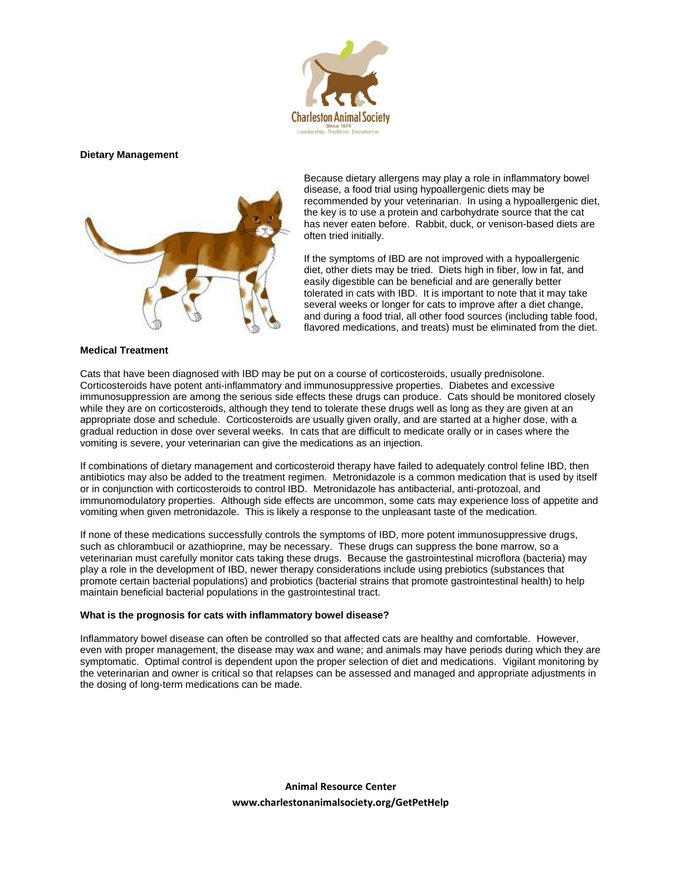

#### **Dietary Management**



Because dietary allergens may play a role in inflammatory bowel disease, a food trial using hypoallergenic diets may be recommended by your veterinarian. In using a hypoallergenic diet, the key is to use a protein and carbohydrate source that the cat has never eaten before. Rabbit, duck, or venison-based diets are often tried initially.

If the symptoms of IBD are not improved with a hypoallergenic diet, other diets may be tried. Diets high in fiber, low in fat, and easily digestible can be beneficial and are generally better tolerated in cats with IBD. It is important to note that it may take several weeks or longer for cats to improve after a diet change, and during a food trial, all other food sources (including table food, flavored medications, and treats) must be eliminated from the diet.

#### **Medical Treatment**

Cats that have been diagnosed with IBD may be put on a course of corticosteroids, usually prednisolone. Corticosteroids have potent anti-inflammatory and immunosuppressive properties. Diabetes and excessive immunosuppression are among the serious side effects these drugs can produce. Cats should be monitored closely while they are on corticosteroids, although they tend to tolerate these drugs well as long as they are given at an appropriate dose and schedule. Corticosteroids are usually given orally, and are started at a higher dose, with a gradual reduction in dose over several weeks. In cats that are difficult to medicate orally or in cases where the vomiting is severe, your veterinarian can give the medications as an injection.

If combinations of dietary management and corticosteroid therapy have failed to adequately control feline IBD, then antibiotics may also be added to the treatment regimen. Metronidazole is a common medication that is used by itself or in conjunction with corticosteroids to control IBD. Metronidazole has antibacterial, anti-protozoal, and immunomodulatory properties. Although side effects are uncommon, some cats may experience loss of appetite and vomiting when given metronidazole. This is likely a response to the unpleasant taste of the medication.

If none of these medications successfully controls the symptoms of IBD, more potent immunosuppressive drugs, such as chlorambucil or azathioprine, may be necessary. These drugs can suppress the bone marrow, so a veterinarian must carefully monitor cats taking these drugs. Because the gastrointestinal microflora (bacteria) may play a role in the development of IBD, newer therapy considerations include using prebiotics (substances that promote certain bacterial populations) and probiotics (bacterial strains that promote gastrointestinal health) to help maintain beneficial bacterial populations in the gastrointestinal tract.

#### **What is the prognosis for cats with inflammatory bowel disease?**

Inflammatory bowel disease can often be controlled so that affected cats are healthy and comfortable. However, even with proper management, the disease may wax and wane; and animals may have periods during which they are symptomatic. Optimal control is dependent upon the proper selection of diet and medications. Vigilant monitoring by the veterinarian and owner is critical so that relapses can be assessed and managed and appropriate adjustments in the dosing of long-term medications can be made.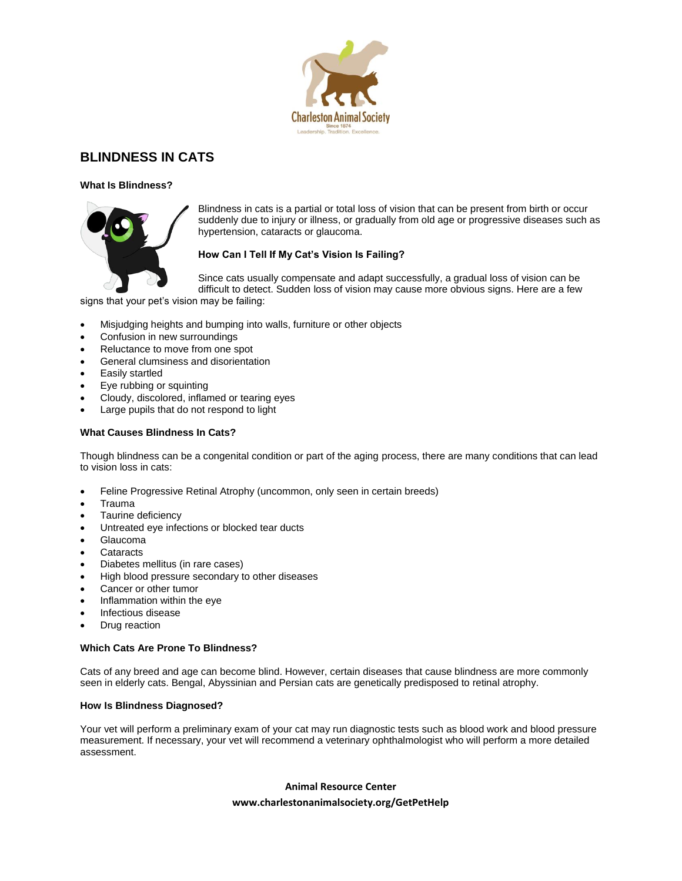

## **BLINDNESS IN CATS**

**What Is Blindness?**



Blindness in cats is a partial or total loss of vision that can be present from birth or occur suddenly due to injury or illness, or gradually from old age or progressive diseases such as hypertension, cataracts or glaucoma.

## **How Can I Tell If My Cat's Vision Is Failing?**

Since cats usually compensate and adapt successfully, a gradual loss of vision can be difficult to detect. Sudden loss of vision may cause more obvious signs. Here are a few

signs that your pet's vision may be failing:

- Misjudging heights and bumping into walls, furniture or other objects
- Confusion in new surroundings
- Reluctance to move from one spot
- General clumsiness and disorientation
- Easily startled
- Eye rubbing or squinting
- Cloudy, discolored, inflamed or tearing eyes
- Large pupils that do not respond to light

## **What Causes Blindness In Cats?**

Though blindness can be a congenital condition or part of the aging process, there are many conditions that can lead to vision loss in cats:

- Feline Progressive Retinal Atrophy (uncommon, only seen in certain breeds)
- Trauma
- Taurine deficiency
- Untreated eye infections or blocked tear ducts
- Glaucoma
- **Cataracts**
- Diabetes mellitus (in rare cases)
- High blood pressure secondary to other diseases
- Cancer or other tumor
- Inflammation within the eye
- Infectious disease
- Drug reaction

## **Which Cats Are Prone To Blindness?**

Cats of any breed and age can become blind. However, certain diseases that cause blindness are more commonly seen in elderly cats. Bengal, Abyssinian and Persian cats are genetically predisposed to retinal atrophy.

## **How Is Blindness Diagnosed?**

Your vet will perform a preliminary exam of your cat may run diagnostic tests such as blood work and blood pressure measurement. If necessary, your vet will recommend a veterinary ophthalmologist who will perform a more detailed assessment.

## **Animal Resource Center**

## **www.charlestonanimalsociety.org/GetPetHelp**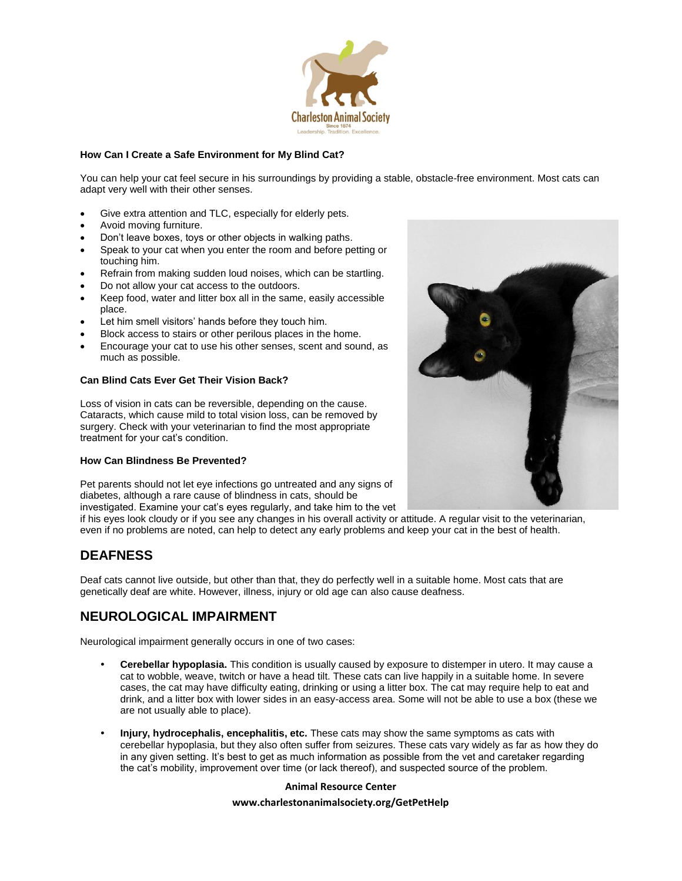

## **How Can I Create a Safe Environment for My Blind Cat?**

You can help your cat feel secure in his surroundings by providing a stable, obstacle-free environment. Most cats can adapt very well with their other senses.

- Give extra attention and TLC, especially for elderly pets.
- Avoid moving furniture.
- Don't leave boxes, toys or other objects in walking paths.
- Speak to your cat when you enter the room and before petting or touching him.
- Refrain from making sudden loud noises, which can be startling.
- Do not allow your cat access to the outdoors.
- Keep food, water and litter box all in the same, easily accessible place.
- Let him smell visitors' hands before they touch him.
- Block access to stairs or other perilous places in the home.
- Encourage your cat to use his other senses, scent and sound, as much as possible.

## **Can Blind Cats Ever Get Their Vision Back?**

Loss of vision in cats can be reversible, depending on the cause. Cataracts, which cause mild to total vision loss, can be removed by surgery. Check with your veterinarian to find the most appropriate treatment for your cat's condition.

## **How Can Blindness Be Prevented?**

Pet parents should not let eye infections go untreated and any signs of diabetes, although a rare cause of blindness in cats, should be investigated. Examine your cat's eyes regularly, and take him to the vet

if his eyes look cloudy or if you see any changes in his overall activity or attitude. A regular visit to the veterinarian, even if no problems are noted, can help to detect any early problems and keep your cat in the best of health.

## **DEAFNESS**

Deaf cats cannot live outside, but other than that, they do perfectly well in a suitable home. Most cats that are genetically deaf are white. However, illness, injury or old age can also cause deafness.

## **NEUROLOGICAL IMPAIRMENT**

Neurological impairment generally occurs in one of two cases:

- **Cerebellar hypoplasia.** This condition is usually caused by exposure to distemper in utero. It may cause a cat to wobble, weave, twitch or have a head tilt. These cats can live happily in a suitable home. In severe cases, the cat may have difficulty eating, drinking or using a litter box. The cat may require help to eat and drink, and a litter box with lower sides in an easy-access area. Some will not be able to use a box (these we are not usually able to place).
- **Injury, hydrocephalis, encephalitis, etc.** These cats may show the same symptoms as cats with cerebellar hypoplasia, but they also often suffer from seizures. These cats vary widely as far as how they do in any given setting. It's best to get as much information as possible from the vet and caretaker regarding the cat's mobility, improvement over time (or lack thereof), and suspected source of the problem.